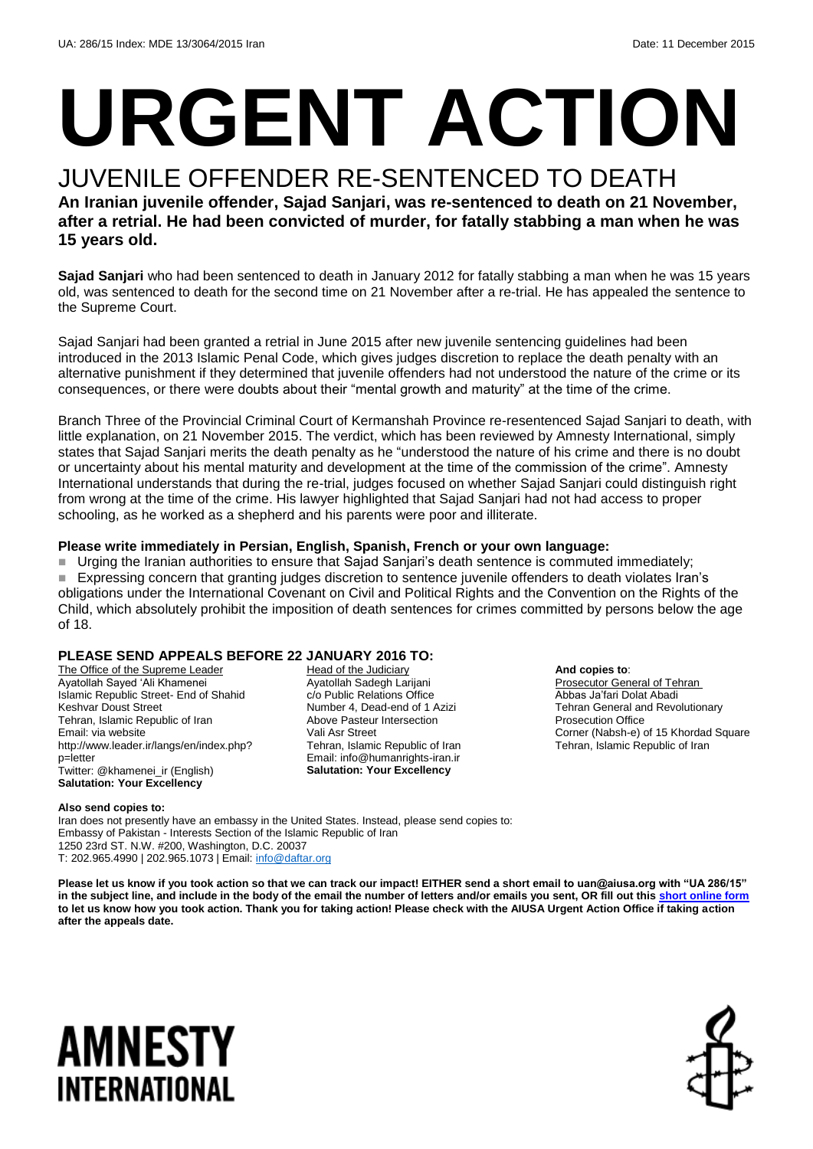# **URGENT ACTION**

#### JUVENILE OFFENDER RE-SENTENCED TO DEATH **An Iranian juvenile offender, Sajad Sanjari, was re-sentenced to death on 21 November, after a retrial. He had been convicted of murder, for fatally stabbing a man when he was 15 years old.**

**Sajad Sanjari** who had been sentenced to death in January 2012 for fatally stabbing a man when he was 15 years old, was sentenced to death for the second time on 21 November after a re-trial. He has appealed the sentence to the Supreme Court.

Sajad Sanjari had been granted a retrial in June 2015 after new juvenile sentencing guidelines had been introduced in the 2013 Islamic Penal Code, which gives judges discretion to replace the death penalty with an alternative punishment if they determined that juvenile offenders had not understood the nature of the crime or its consequences, or there were doubts about their "mental growth and maturity" at the time of the crime.

Branch Three of the Provincial Criminal Court of Kermanshah Province re-resentenced Sajad Sanjari to death, with little explanation, on 21 November 2015. The verdict, which has been reviewed by Amnesty International, simply states that Sajad Sanjari merits the death penalty as he "understood the nature of his crime and there is no doubt or uncertainty about his mental maturity and development at the time of the commission of the crime". Amnesty International understands that during the re-trial, judges focused on whether Sajad Sanjari could distinguish right from wrong at the time of the crime. His lawyer highlighted that Sajad Sanjari had not had access to proper schooling, as he worked as a shepherd and his parents were poor and illiterate.

#### **Please write immediately in Persian, English, Spanish, French or your own language:**

Urging the Iranian authorities to ensure that Sajad Sanjari's death sentence is commuted immediately; Expressing concern that granting judges discretion to sentence juvenile offenders to death violates Iran's obligations under the International Covenant on Civil and Political Rights and the Convention on the Rights of the Child, which absolutely prohibit the imposition of death sentences for crimes committed by persons below the age of 18.

#### **PLEASE SEND APPEALS BEFORE 22 JANUARY 2016 TO:**

The Office of the Supreme Leader Ayatollah Sayed 'Ali Khamenei Islamic Republic Street- End of Shahid Keshvar Doust Street Tehran, Islamic Republic of Iran Email: via website http://www.leader.ir/langs/en/index.php? p=letter .<br>Twitter: @khamenei\_ir (English) **Salutation: Your Excellency**

Head of the Judiciary Ayatollah Sadegh Larijani c/o Public Relations Office Number 4, Dead-end of 1 Azizi Above Pasteur Intersection Vali Asr Street Tehran, Islamic Republic of Iran Email: info@humanrights-iran.ir **Salutation: Your Excellency**

**And copies to**:

Prosecutor General of Tehran Abbas Ja'fari Dolat Abadi Tehran General and Revolutionary Prosecution Office Corner (Nabsh-e) of 15 Khordad Square Tehran, Islamic Republic of Iran

#### **Also send copies to:**

Iran does not presently have an embassy in the United States. Instead, please send copies to: Embassy of Pakistan - Interests Section of the Islamic Republic of Iran 1250 23rd ST. N.W. #200, Washington, D.C. 20037 T: 202.965.4990 | 202.965.1073 | Email[: info@daftar.org](mailto:info@daftar.org)

**Please let us know if you took action so that we can track our impact! EITHER send a short email to uan@aiusa.org with "UA 286/15"**  in the subject line, and include in the body of the email the number of letters and/or emails you sent, OR fill out thi[s short online form](https://www.surveymonkey.com/r/L72NNSX) **to let us know how you took action. Thank you for taking action! Please check with the AIUSA Urgent Action Office if taking action after the appeals date.**

## **AMNESTY** INTERNATIONAL